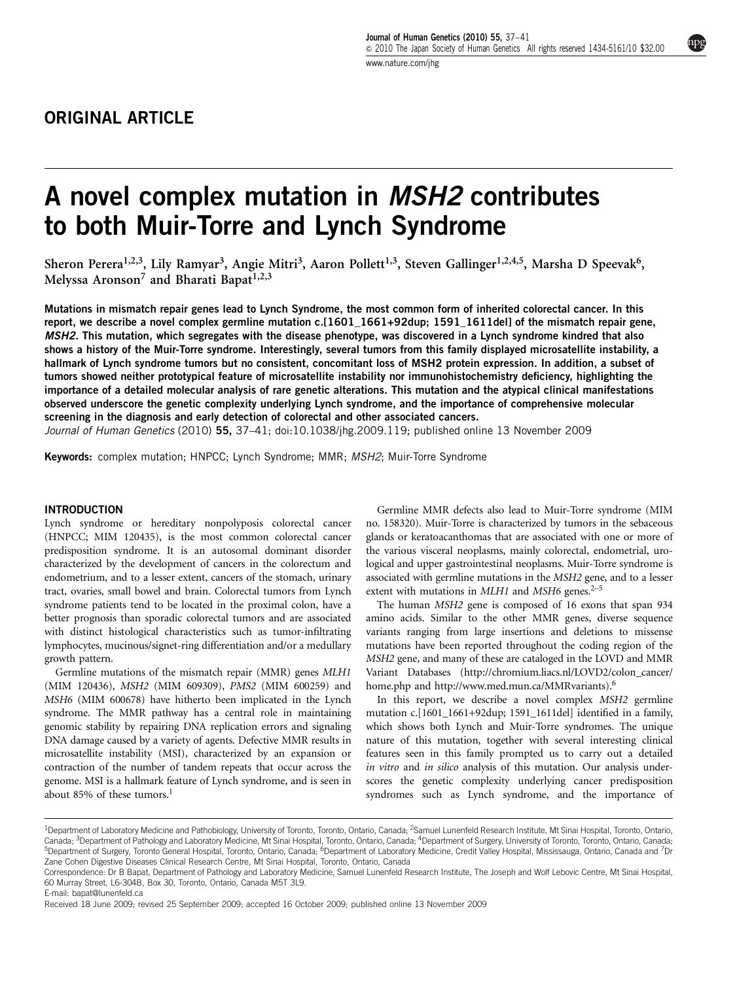# A novel complex mutation in MSH2 contributes to both Muir-Torre and Lynch Syndrome

Sheron Perera<sup>1,2,3</sup>, Lily Ramyar<sup>3</sup>, Angie Mitri<sup>3</sup>, Aaron Pollett<sup>1,3</sup>, Steven Gallinger<sup>1,2,4,5</sup>, Marsha D Speevak<sup>6</sup>, Melyssa Aronson<sup>7</sup> and Bharati Bapat<sup>1,2,3</sup>

Mutations in mismatch repair genes lead to Lynch Syndrome, the most common form of inherited colorectal cancer. In this report, we describe a novel complex germline mutation c.[1601 1661+92dup; 1591 1611del] of the mismatch repair gene, MSH2. This mutation, which segregates with the disease phenotype, was discovered in a Lynch syndrome kindred that also shows a history of the Muir-Torre syndrome. Interestingly, several tumors from this family displayed microsatellite instability, a hallmark of Lynch syndrome tumors but no consistent, concomitant loss of MSH2 protein expression. In addition, a subset of tumors showed neither prototypical feature of microsatellite instability nor immunohistochemistry deficiency, highlighting the importance of a detailed molecular analysis of rare genetic alterations. This mutation and the atypical clinical manifestations observed underscore the genetic complexity underlying Lynch syndrome, and the importance of comprehensive molecular screening in the diagnosis and early detection of colorectal and other associated cancers.

Journal of Human Genetics (2010) 55, 37-41; doi:[10.1038/jhg.2009.119;](http://dx.doi.org/10.1038/jhg.2009.119) published online 13 November 2009

Keywords: complex mutation; HNPCC; Lynch Syndrome; MMR; MSH2; Muir-Torre Syndrome

## **INTRODUCTION**

Lynch syndrome or hereditary nonpolyposis colorectal cancer (HNPCC; MIM 120435), is the most common colorectal cancer predisposition syndrome. It is an autosomal dominant disorder characterized by the development of cancers in the colorectum and endometrium, and to a lesser extent, cancers of the stomach, urinary tract, ovaries, small bowel and brain. Colorectal tumors from Lynch syndrome patients tend to be located in the proximal colon, have a better prognosis than sporadic colorectal tumors and are associated with distinct histological characteristics such as tumor-infiltrating lymphocytes, mucinous/signet-ring differentiation and/or a medullary growth pattern.

Germline mutations of the mismatch repair (MMR) genes MLH1 (MIM 120436), MSH2 (MIM 609309), PMS2 (MIM 600259) and MSH6 (MIM 600678) have hitherto been implicated in the Lynch syndrome. The MMR pathway has a central role in maintaining genomic stability by repairing DNA replication errors and signaling DNA damage caused by a variety of agents. Defective MMR results in microsatellite instability (MSI), characterized by an expansion or contraction of the number of tandem repeats that occur across the genome. MSI is a hallmark feature of Lynch syndrome, and is seen in about 85% of these tumors.<sup>[1](#page-3-0)</sup>

Germline MMR defects also lead to Muir-Torre syndrome (MIM no. 158320). Muir-Torre is characterized by tumors in the sebaceous glands or keratoacanthomas that are associated with one or more of the various visceral neoplasms, mainly colorectal, endometrial, urological and upper gastrointestinal neoplasms. Muir-Torre syndrome is associated with germline mutations in the MSH2 gene, and to a lesser extent with mutations in  $MLH1$  and  $MSH6$  genes.<sup>2-5</sup>

The human MSH2 gene is composed of 16 exons that span 934 amino acids. Similar to the other MMR genes, diverse sequence variants ranging from large insertions and deletions to missense mutations have been reported throughout the coding region of the MSH2 gene, and many of these are cataloged in the LOVD and MMR Variant Databases [\(http://chromium.liacs.nl/LOVD2/colon\\_cancer/](http://chromium.liacs.nl/LOVD2/colon_cancer/home.php) [home.php](http://chromium.liacs.nl/LOVD2/colon_cancer/home.php) and<http://www.med.mun.ca/MMRvariants>).<sup>[6](#page-3-0)</sup>

In this report, we describe a novel complex MSH2 germline mutation c.[1601\_1661+92dup; 1591\_1611del] identified in a family, which shows both Lynch and Muir-Torre syndromes. The unique nature of this mutation, together with several interesting clinical features seen in this family prompted us to carry out a detailed in vitro and in silico analysis of this mutation. Our analysis underscores the genetic complexity underlying cancer predisposition syndromes such as Lynch syndrome, and the importance of

E-mail: [bapat@lunenfeld.ca](mailto:bapat@lunenfeld.ca)

<sup>&</sup>lt;sup>1</sup>Department of Laboratory Medicine and Pathobiology, University of Toronto, Toronto, Ontario, Canada; <sup>2</sup>Samuel Lunenfeld Research Institute, Mt Sinai Hospital, Toronto, Ontario, Canada; <sup>3</sup>Department of Pathology and Laboratory Medicine, Mt Sinai Hospital, Toronto, Ontario, Canada; <sup>4</sup>Department of Surgery, University of Toronto, Toronto, Ontario, Canada; <sup>5</sup>Department of Surgery, Toronto General Hospital, Toronto, Ontario, Canada; <sup>6</sup>Department of Laboratory Medicine, Credit Valley Hospital, Mississauga, Ontario, Canada and <sup>7</sup>Dr Zane Cohen Digestive Diseases Clinical Research Centre, Mt Sinai Hospital, Toronto, Ontario, Canada

Correspondence: Dr B Bapat, Department of Pathology and Laboratory Medicine, Samuel Lunenfeld Research Institute, The Joseph and Wolf Lebovic Centre, Mt Sinai Hospital, 60 Murray Street, L6-304B, Box 30, Toronto, Ontario, Canada M5T 3L9.

Received 18 June 2009; revised 25 September 2009; accepted 16 October 2009; published online 13 November 2009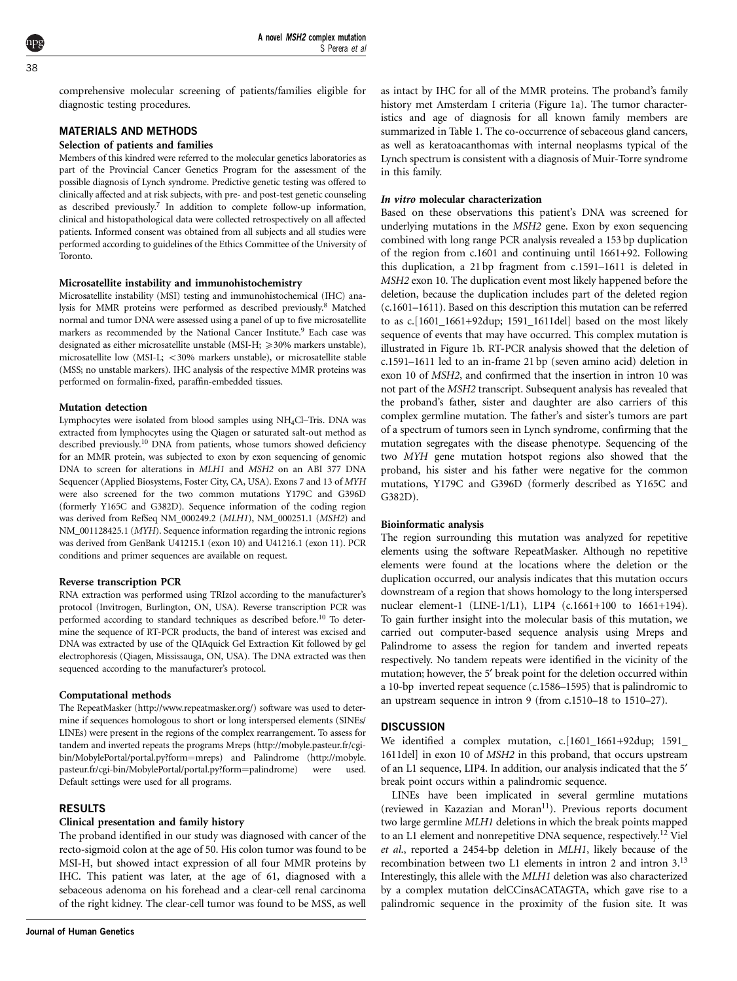comprehensive molecular screening of patients/families eligible for diagnostic testing procedures.

# MATERIALS AND METHODS

## Selection of patients and families

Members of this kindred were referred to the molecular genetics laboratories as part of the Provincial Cancer Genetics Program for the assessment of the possible diagnosis of Lynch syndrome. Predictive genetic testing was offered to clinically affected and at risk subjects, with pre- and post-test genetic counseling as described previously[.7](#page-3-0) In addition to complete follow-up information, clinical and histopathological data were collected retrospectively on all affected patients. Informed consent was obtained from all subjects and all studies were performed according to guidelines of the Ethics Committee of the University of Toronto.

#### Microsatellite instability and immunohistochemistry

Microsatellite instability (MSI) testing and immunohistochemical (IHC) analysis for MMR proteins were performed as described previously.[8](#page-3-0) Matched normal and tumor DNA were assessed using a panel of up to five microsatellite markers as recommended by the National Cancer Institute.<sup>9</sup> Each case was designated as either microsatellite unstable (MSI-H;  $\geq$  30% markers unstable), microsatellite low (MSI-L;  $<$  30% markers unstable), or microsatellite stable (MSS; no unstable markers). IHC analysis of the respective MMR proteins was performed on formalin-fixed, paraffin-embedded tissues.

### Mutation detection

Lymphocytes were isolated from blood samples using NH4Cl–Tris. DNA was extracted from lymphocytes using the Qiagen or saturated salt-out method as described previously.<sup>10</sup> DNA from patients, whose tumors showed deficiency for an MMR protein, was subjected to exon by exon sequencing of genomic DNA to screen for alterations in MLH1 and MSH2 on an ABI 377 DNA Sequencer (Applied Biosystems, Foster City, CA, USA). Exons 7 and 13 of MYH were also screened for the two common mutations Y179C and G396D (formerly Y165C and G382D). Sequence information of the coding region was derived from RefSeq NM\_000249.2 (MLH1), NM\_000251.1 (MSH2) and NM\_001128425.1 (MYH). Sequence information regarding the intronic regions was derived from GenBank U41215.1 (exon 10) and U41216.1 (exon 11). PCR conditions and primer sequences are available on request.

#### Reverse transcription PCR

RNA extraction was performed using TRIzol according to the manufacturer's protocol (Invitrogen, Burlington, ON, USA). Reverse transcription PCR was performed according to standard techniques as described before.[10](#page-3-0) To determine the sequence of RT-PCR products, the band of interest was excised and DNA was extracted by use of the QIAquick Gel Extraction Kit followed by gel electrophoresis (Qiagen, Mississauga, ON, USA). The DNA extracted was then sequenced according to the manufacturer's protocol.

### Computational methods

The RepeatMasker [\(http://www.repeatmasker.org/\)](http://www.repeatmasker.org/) software was used to determine if sequences homologous to short or long interspersed elements (SINEs/ LINEs) were present in the regions of the complex rearrangement. To assess for tandem and inverted repeats the programs Mreps [\(http://mobyle.pasteur.fr/cgi](http://mobyle.pasteur.fr/cgi-bin/MobylePortal/portal.py?form=mreps)[bin/MobylePortal/portal.py?form](http://mobyle.pasteur.fr/cgi-bin/MobylePortal/portal.py?form=mreps)=[mreps](http://mobyle.pasteur.fr/cgi-bin/MobylePortal/portal.py?form=mreps)) and Palindrome [\(http://mobyle.](http://mobyle.pasteur.fr/cgi-bin/MobylePortal/portal.py?form=palindrome) [pasteur.fr/cgi-bin/MobylePortal/portal.py?form](http://mobyle.pasteur.fr/cgi-bin/MobylePortal/portal.py?form=palindrome)=[palindrome\)](http://mobyle.pasteur.fr/cgi-bin/MobylePortal/portal.py?form=palindrome) were used. Default settings were used for all programs.

## RESULTS

# Clinical presentation and family history

The proband identified in our study was diagnosed with cancer of the recto-sigmoid colon at the age of 50. His colon tumor was found to be MSI-H, but showed intact expression of all four MMR proteins by IHC. This patient was later, at the age of 61, diagnosed with a sebaceous adenoma on his forehead and a clear-cell renal carcinoma of the right kidney. The clear-cell tumor was found to be MSS, as well

as intact by IHC for all of the MMR proteins. The proband's family history met Amsterdam I criteria [\(Figure 1a](#page-2-0)). The tumor characteristics and age of diagnosis for all known family members are summarized in [Table 1](#page-2-0). The co-occurrence of sebaceous gland cancers, as well as keratoacanthomas with internal neoplasms typical of the Lynch spectrum is consistent with a diagnosis of Muir-Torre syndrome in this family.

#### In vitro molecular characterization

Based on these observations this patient's DNA was screened for underlying mutations in the MSH2 gene. Exon by exon sequencing combined with long range PCR analysis revealed a 153 bp duplication of the region from c.1601 and continuing until 1661+92. Following this duplication, a 21 bp fragment from c.1591–1611 is deleted in MSH2 exon 10. The duplication event most likely happened before the deletion, because the duplication includes part of the deleted region (c.1601–1611). Based on this description this mutation can be referred to as c.[1601\_1661+92dup; 1591\_1611del] based on the most likely sequence of events that may have occurred. This complex mutation is illustrated in [Figure 1b.](#page-2-0) RT-PCR analysis showed that the deletion of c.1591–1611 led to an in-frame 21 bp (seven amino acid) deletion in exon 10 of MSH2, and confirmed that the insertion in intron 10 was not part of the MSH2 transcript. Subsequent analysis has revealed that the proband's father, sister and daughter are also carriers of this complex germline mutation. The father's and sister's tumors are part of a spectrum of tumors seen in Lynch syndrome, confirming that the mutation segregates with the disease phenotype. Sequencing of the two MYH gene mutation hotspot regions also showed that the proband, his sister and his father were negative for the common mutations, Y179C and G396D (formerly described as Y165C and G382D).

#### Bioinformatic analysis

The region surrounding this mutation was analyzed for repetitive elements using the software RepeatMasker. Although no repetitive elements were found at the locations where the deletion or the duplication occurred, our analysis indicates that this mutation occurs downstream of a region that shows homology to the long interspersed nuclear element-1 (LINE-1/L1), L1P4 (c.1661+100 to 1661+194). To gain further insight into the molecular basis of this mutation, we carried out computer-based sequence analysis using Mreps and Palindrome to assess the region for tandem and inverted repeats respectively. No tandem repeats were identified in the vicinity of the mutation; however, the 5' break point for the deletion occurred within a 10-bp inverted repeat sequence (c.1586–1595) that is palindromic to an upstream sequence in intron 9 (from c.1510–18 to 1510–27).

## **DISCUSSION**

We identified a complex mutation, c.[1601\_1661+92dup; 1591\_ 1611del] in exon 10 of MSH2 in this proband, that occurs upstream of an L1 sequence, LIP4. In addition, our analysis indicated that the 5¢ break point occurs within a palindromic sequence.

LINEs have been implicated in several germline mutations (reviewed in Kazazian and Moran<sup>[11](#page-3-0)</sup>). Previous reports document two large germline MLH1 deletions in which the break points mapped to an L1 element and nonrepetitive DNA sequence, respectively.<sup>12</sup> Viel et al., reported a 2454-bp deletion in MLH1, likely because of the recombination between two L1 elements in intron 2 and intron 3.[13](#page-3-0) Interestingly, this allele with the MLH1 deletion was also characterized by a complex mutation delCCinsACATAGTA, which gave rise to a palindromic sequence in the proximity of the fusion site. It was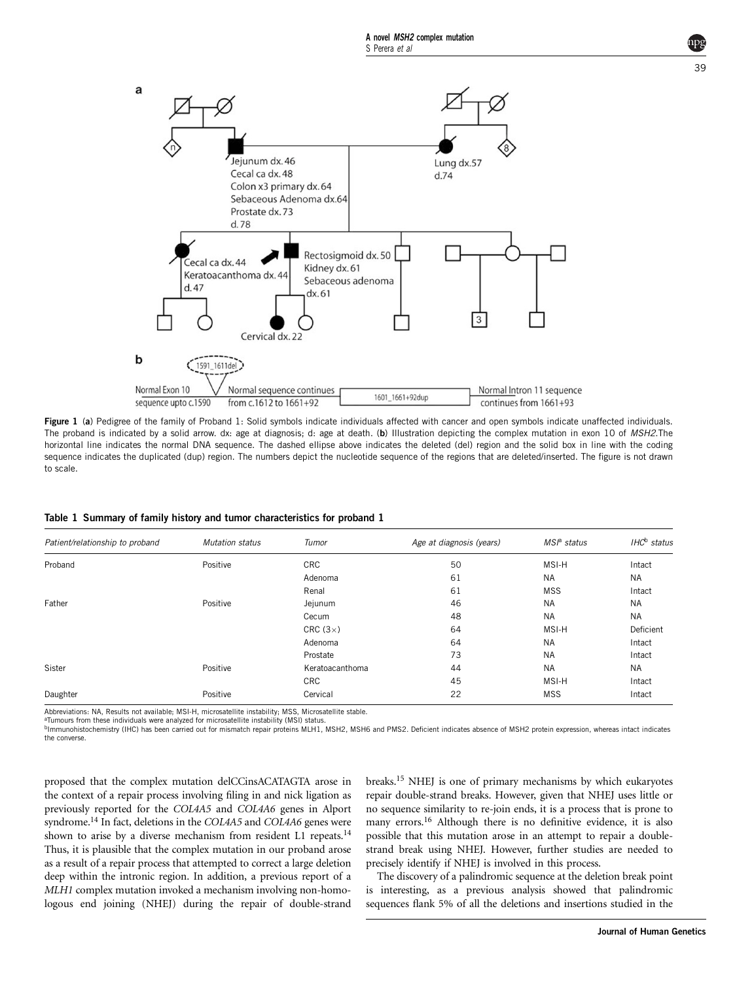<span id="page-2-0"></span>

Figure 1 (a) Pedigree of the family of Proband 1: Solid symbols indicate individuals affected with cancer and open symbols indicate unaffected individuals. The proband is indicated by a solid arrow. dx: age at diagnosis; d: age at death. (b) Illustration depicting the complex mutation in exon 10 of MSH2. The horizontal line indicates the normal DNA sequence. The dashed ellipse above indicates the deleted (del) region and the solid box in line with the coding sequence indicates the duplicated (dup) region. The numbers depict the nucleotide sequence of the regions that are deleted/inserted. The figure is not drawn to scale.

| Table 1 Summary of family history and tumor characteristics for proband 1 |  |  |  |  |  |  |  |  |  |  |  |  |  |
|---------------------------------------------------------------------------|--|--|--|--|--|--|--|--|--|--|--|--|--|
|---------------------------------------------------------------------------|--|--|--|--|--|--|--|--|--|--|--|--|--|

| Patient/relationship to proband | <b>Mutation status</b> | Tumor           | Age at diagnosis (years) | $MSa$ status | IHC <sup>b</sup> status |
|---------------------------------|------------------------|-----------------|--------------------------|--------------|-------------------------|
| Proband                         | Positive               | <b>CRC</b>      | 50                       | MSI-H        | Intact                  |
|                                 |                        | Adenoma         | 61                       | <b>NA</b>    | <b>NA</b>               |
|                                 |                        | Renal           | 61                       | <b>MSS</b>   | Intact                  |
| Father                          | Positive               | Jejunum         | 46                       | <b>NA</b>    | <b>NA</b>               |
|                                 |                        | Cecum           | 48                       | <b>NA</b>    | <b>NA</b>               |
|                                 |                        | CRC $(3x)$      | 64                       | MSI-H        | Deficient               |
|                                 |                        | Adenoma         | 64                       | <b>NA</b>    | Intact                  |
|                                 |                        | Prostate        | 73                       | <b>NA</b>    | Intact                  |
| Sister                          | Positive               | Keratoacanthoma | 44                       | <b>NA</b>    | <b>NA</b>               |
|                                 |                        | <b>CRC</b>      | 45                       | MSI-H        | Intact                  |
| Daughter                        | Positive               | Cervical        | 22                       | <b>MSS</b>   | Intact                  |

Abbreviations: NA, Results not available; MSI-H, microsatellite instability; MSS, Microsatellite stable.

<sup>a</sup>Tumours from these individuals were analyzed for microsatellite instability (MSI) status.

bImmunohistochemistry (IHC) has been carried out for mismatch repair proteins MLH1, MSH2, MSH6 and PMS2. Deficient indicates absence of MSH2 protein expression, whereas intact indicates the converse.

proposed that the complex mutation delCCinsACATAGTA arose in the context of a repair process involving filing in and nick ligation as previously reported for the COL4A5 and COL4A6 genes in Alport syndrome.<sup>14</sup> In fact, deletions in the COL4A5 and COL4A6 genes were shown to arise by a diverse mechanism from resident L1 repeats.<sup>[14](#page-4-0)</sup> Thus, it is plausible that the complex mutation in our proband arose as a result of a repair process that attempted to correct a large deletion deep within the intronic region. In addition, a previous report of a MLH1 complex mutation invoked a mechanism involving non-homologous end joining (NHEJ) during the repair of double-strand

breaks[.15](#page-4-0) NHEJ is one of primary mechanisms by which eukaryotes repair double-strand breaks. However, given that NHEJ uses little or no sequence similarity to re-join ends, it is a process that is prone to many errors.<sup>[16](#page-4-0)</sup> Although there is no definitive evidence, it is also possible that this mutation arose in an attempt to repair a doublestrand break using NHEJ. However, further studies are needed to precisely identify if NHEJ is involved in this process.

The discovery of a palindromic sequence at the deletion break point is interesting, as a previous analysis showed that palindromic sequences flank 5% of all the deletions and insertions studied in the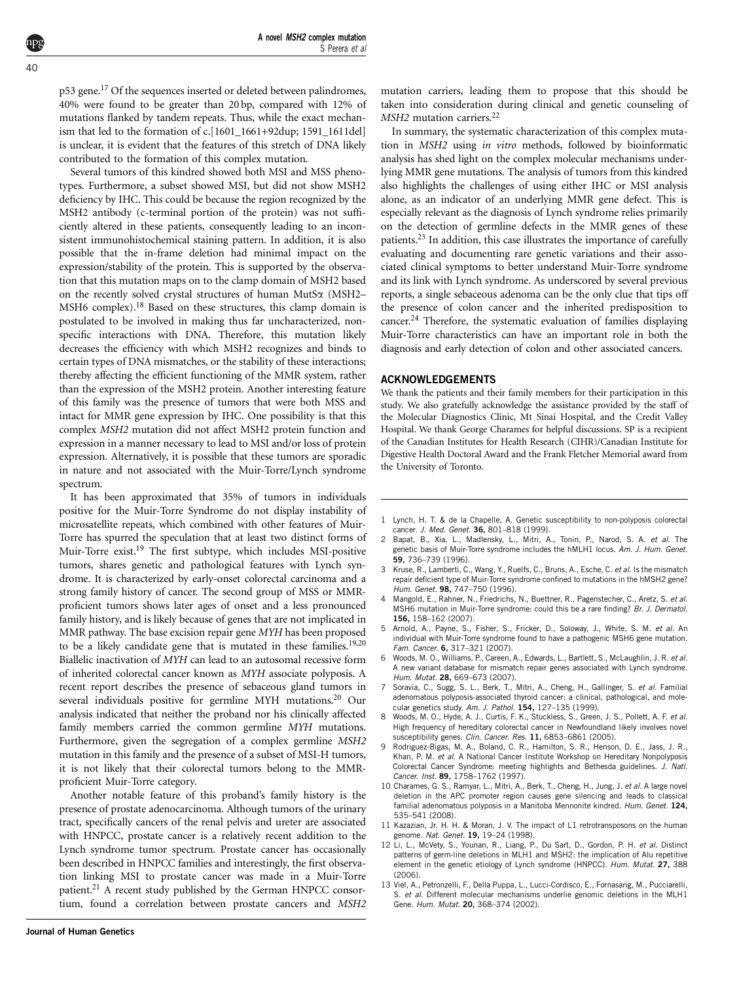<span id="page-3-0"></span>p53 gene[.17](#page-4-0) Of the sequences inserted or deleted between palindromes, 40% were found to be greater than 20 bp, compared with 12% of mutations flanked by tandem repeats. Thus, while the exact mechanism that led to the formation of c.[1601\_1661+92dup; 1591\_1611del] is unclear, it is evident that the features of this stretch of DNA likely contributed to the formation of this complex mutation.

Several tumors of this kindred showed both MSI and MSS phenotypes. Furthermore, a subset showed MSI, but did not show MSH2 deficiency by IHC. This could be because the region recognized by the MSH2 antibody (c-terminal portion of the protein) was not sufficiently altered in these patients, consequently leading to an inconsistent immunohistochemical staining pattern. In addition, it is also possible that the in-frame deletion had minimal impact on the expression/stability of the protein. This is supported by the observation that this mutation maps on to the clamp domain of MSH2 based on the recently solved crystal structures of human MutS $\alpha$  (MSH2– MSH6 complex).<sup>[18](#page-4-0)</sup> Based on these structures, this clamp domain is postulated to be involved in making thus far uncharacterized, nonspecific interactions with DNA. Therefore, this mutation likely decreases the efficiency with which MSH2 recognizes and binds to certain types of DNA mismatches, or the stability of these interactions; thereby affecting the efficient functioning of the MMR system, rather than the expression of the MSH2 protein. Another interesting feature of this family was the presence of tumors that were both MSS and intact for MMR gene expression by IHC. One possibility is that this complex MSH2 mutation did not affect MSH2 protein function and expression in a manner necessary to lead to MSI and/or loss of protein expression. Alternatively, it is possible that these tumors are sporadic in nature and not associated with the Muir-Torre/Lynch syndrome spectrum.

It has been approximated that 35% of tumors in individuals positive for the Muir-Torre Syndrome do not display instability of microsatellite repeats, which combined with other features of Muir-Torre has spurred the speculation that at least two distinct forms of Muir-Torre exist[.19](#page-4-0) The first subtype, which includes MSI-positive tumors, shares genetic and pathological features with Lynch syndrome. It is characterized by early-onset colorectal carcinoma and a strong family history of cancer. The second group of MSS or MMRproficient tumors shows later ages of onset and a less pronounced family history, and is likely because of genes that are not implicated in MMR pathway. The base excision repair gene MYH has been proposed to be a likely candidate gene that is mutated in these families.[19,20](#page-4-0) Biallelic inactivation of MYH can lead to an autosomal recessive form of inherited colorectal cancer known as MYH associate polyposis. A recent report describes the presence of sebaceous gland tumors in several individuals positive for germline MYH mutations.<sup>20</sup> Our analysis indicated that neither the proband nor his clinically affected family members carried the common germline MYH mutations. Furthermore, given the segregation of a complex germline MSH2 mutation in this family and the presence of a subset of MSI-H tumors, it is not likely that their colorectal tumors belong to the MMRproficient Muir-Torre category.

Another notable feature of this proband's family history is the presence of prostate adenocarcinoma. Although tumors of the urinary tract, specifically cancers of the renal pelvis and ureter are associated with HNPCC, prostate cancer is a relatively recent addition to the Lynch syndrome tumor spectrum. Prostate cancer has occasionally been described in HNPCC families and interestingly, the first observation linking MSI to prostate cancer was made in a Muir-Torre patient.<sup>[21](#page-4-0)</sup> A recent study published by the German HNPCC consortium, found a correlation between prostate cancers and MSH2 mutation carriers, leading them to propose that this should be taken into consideration during clinical and genetic counseling of MSH2 mutation carriers.<sup>[22](#page-4-0)</sup>

In summary, the systematic characterization of this complex mutation in MSH2 using in vitro methods, followed by bioinformatic analysis has shed light on the complex molecular mechanisms underlying MMR gene mutations. The analysis of tumors from this kindred also highlights the challenges of using either IHC or MSI analysis alone, as an indicator of an underlying MMR gene defect. This is especially relevant as the diagnosis of Lynch syndrome relies primarily on the detection of germline defects in the MMR genes of these patients.<sup>[23](#page-4-0)</sup> In addition, this case illustrates the importance of carefully evaluating and documenting rare genetic variations and their associated clinical symptoms to better understand Muir-Torre syndrome and its link with Lynch syndrome. As underscored by several previous reports, a single sebaceous adenoma can be the only clue that tips off the presence of colon cancer and the inherited predisposition to cancer[.24](#page-4-0) Therefore, the systematic evaluation of families displaying Muir-Torre characteristics can have an important role in both the diagnosis and early detection of colon and other associated cancers.

## ACKNOWLEDGEMENTS

We thank the patients and their family members for their participation in this study. We also gratefully acknowledge the assistance provided by the staff of the Molecular Diagnostics Clinic, Mt Sinai Hospital, and the Credit Valley Hospital. We thank George Charames for helpful discussions. SP is a recipient of the Canadian Institutes for Health Research (CIHR)/Canadian Institute for Digestive Health Doctoral Award and the Frank Fletcher Memorial award from the University of Toronto.

- 1 Lynch, H. T. & de la Chapelle, A. Genetic susceptibility to non-polyposis colorectal cancer. J. Med. Genet. 36, 801–818 (1999).
- 2 Bapat, B., Xia, L., Madlensky, L., Mitri, A., Tonin, P., Narod, S. A. et al. The genetic basis of Muir-Torre syndrome includes the hMLH1 locus. Am. J. Hum. Genet. 59, 736–739 (1996).
- 3 Kruse, R., Lamberti, C., Wang, Y., Ruelfs, C., Bruns, A., Esche, C. et al. Is the mismatch repair deficient type of Muir-Torre syndrome confined to mutations in the hMSH2 gene? Hum. Genet. **98**, 747-750 (1996).
- 4 Mangold, E., Rahner, N., Friedrichs, N., Buettner, R., Pagenstecher, C., Aretz, S. et al. MSH6 mutation in Muir-Torre syndrome: could this be a rare finding? Br. J. Dermatol. 156, 158–162 (2007).
- 5 Arnold, A., Payne, S., Fisher, S., Fricker, D., Soloway, J., White, S. M. et al. An individual with Muir-Torre syndrome found to have a pathogenic MSH6 gene mutation. Fam. Cancer. 6, 317–321 (2007).
- 6 Woods, M. O., Williams, P., Careen, A., Edwards, L., Bartlett, S., McLaughlin, J. R. et al. A new variant database for mismatch repair genes associated with Lynch syndrome. Hum. Mutat. 28, 669–673 (2007).
- Soravia, C., Sugg, S. L., Berk, T., Mitri, A., Cheng, H., Gallinger, S. et al. Familial adenomatous polyposis-associated thyroid cancer: a clinical, pathological, and molecular genetics study. Am. J. Pathol. 154, 127–135 (1999).
- 8 Woods, M. O., Hyde, A. J., Curtis, F. K., Stuckless, S., Green, J. S., Pollett, A. F. et al. High frequency of hereditary colorectal cancer in Newfoundland likely involves novel susceptibility genes. Clin. Cancer. Res. 11, 6853-6861 (2005).
- 9 Rodriguez-Bigas, M. A., Boland, C. R., Hamilton, S. R., Henson, D. E., Jass, J. R., Khan, P. M. et al. A National Cancer Institute Workshop on Hereditary Nonpolyposis Colorectal Cancer Syndrome: meeting highlights and Bethesda guidelines. J. Natl. Cancer. Inst. 89, 1758–1762 (1997).
- 10 Charames, G. S., Ramyar, L., Mitri, A., Berk, T., Cheng, H., Jung, J. et al. A large novel deletion in the APC promoter region causes gene silencing and leads to classical familial adenomatous polyposis in a Manitoba Mennonite kindred. Hum. Genet. 124, 535–541 (2008).
- 11 Kazazian, Jr. H. H. & Moran, J. V. The impact of L1 retrotransposons on the human genome. Nat. Genet. 19, 19-24 (1998).
- 12 Li, L., McVety, S., Younan, R., Liang, P., Du Sart, D., Gordon, P. H. et al. Distinct patterns of germ-line deletions in MLH1 and MSH2: the implication of Alu repetitive element in the genetic etiology of Lynch syndrome (HNPCC). Hum. Mutat. 27, 388 (2006).
- 13 Viel, A., Petronzelli, F., Della Puppa, L., Lucci-Cordisco, E., Fornasarig, M., Pucciarelli, S. et al. Different molecular mechanisms underlie genomic deletions in the MLH1 Gene. Hum. Mutat. 20, 368–374 (2002).